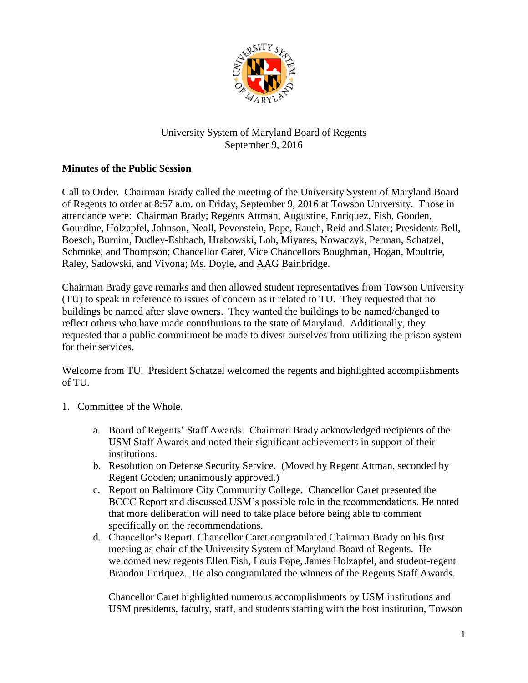

## University System of Maryland Board of Regents September 9, 2016

## **Minutes of the Public Session**

Call to Order. Chairman Brady called the meeting of the University System of Maryland Board of Regents to order at 8:57 a.m. on Friday, September 9, 2016 at Towson University. Those in attendance were: Chairman Brady; Regents Attman, Augustine, Enriquez, Fish, Gooden, Gourdine, Holzapfel, Johnson, Neall, Pevenstein, Pope, Rauch, Reid and Slater; Presidents Bell, Boesch, Burnim, Dudley-Eshbach, Hrabowski, Loh, Miyares, Nowaczyk, Perman, Schatzel, Schmoke, and Thompson; Chancellor Caret, Vice Chancellors Boughman, Hogan, Moultrie, Raley, Sadowski, and Vivona; Ms. Doyle, and AAG Bainbridge.

Chairman Brady gave remarks and then allowed student representatives from Towson University (TU) to speak in reference to issues of concern as it related to TU. They requested that no buildings be named after slave owners. They wanted the buildings to be named/changed to reflect others who have made contributions to the state of Maryland. Additionally, they requested that a public commitment be made to divest ourselves from utilizing the prison system for their services.

Welcome from TU. President Schatzel welcomed the regents and highlighted accomplishments of TU.

- 1. Committee of the Whole.
	- a. Board of Regents' Staff Awards. Chairman Brady acknowledged recipients of the USM Staff Awards and noted their significant achievements in support of their institutions.
	- b. Resolution on Defense Security Service. (Moved by Regent Attman, seconded by Regent Gooden; unanimously approved.)
	- c. Report on Baltimore City Community College. Chancellor Caret presented the BCCC Report and discussed USM's possible role in the recommendations. He noted that more deliberation will need to take place before being able to comment specifically on the recommendations.
	- d. Chancellor's Report. Chancellor Caret congratulated Chairman Brady on his first meeting as chair of the University System of Maryland Board of Regents. He welcomed new regents Ellen Fish, Louis Pope, James Holzapfel, and student-regent Brandon Enriquez. He also congratulated the winners of the Regents Staff Awards.

Chancellor Caret highlighted numerous accomplishments by USM institutions and USM presidents, faculty, staff, and students starting with the host institution, Towson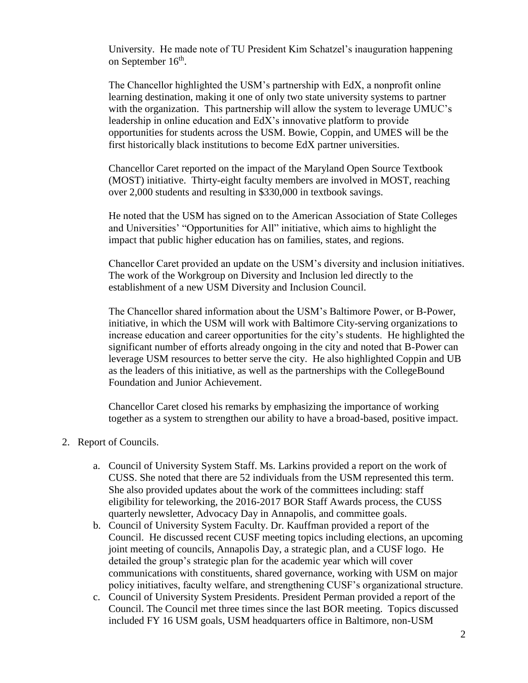University. He made note of TU President Kim Schatzel's inauguration happening on September 16<sup>th</sup>.

The Chancellor highlighted the USM's partnership with EdX, a nonprofit online learning destination, making it one of only two state university systems to partner with the organization. This partnership will allow the system to leverage UMUC's leadership in online education and EdX's innovative platform to provide opportunities for students across the USM. Bowie, Coppin, and UMES will be the first historically black institutions to become EdX partner universities.

Chancellor Caret reported on the impact of the Maryland Open Source Textbook (MOST) initiative. Thirty-eight faculty members are involved in MOST, reaching over 2,000 students and resulting in \$330,000 in textbook savings.

He noted that the USM has signed on to the American Association of State Colleges and Universities' "Opportunities for All" initiative, which aims to highlight the impact that public higher education has on families, states, and regions.

Chancellor Caret provided an update on the USM's diversity and inclusion initiatives. The work of the Workgroup on Diversity and Inclusion led directly to the establishment of a new USM Diversity and Inclusion Council.

The Chancellor shared information about the USM's Baltimore Power, or B-Power, initiative, in which the USM will work with Baltimore City-serving organizations to increase education and career opportunities for the city's students. He highlighted the significant number of efforts already ongoing in the city and noted that B-Power can leverage USM resources to better serve the city. He also highlighted Coppin and UB as the leaders of this initiative, as well as the partnerships with the CollegeBound Foundation and Junior Achievement.

Chancellor Caret closed his remarks by emphasizing the importance of working together as a system to strengthen our ability to have a broad-based, positive impact.

## 2. Report of Councils.

- a. Council of University System Staff. Ms. Larkins provided a report on the work of CUSS. She noted that there are 52 individuals from the USM represented this term. She also provided updates about the work of the committees including: staff eligibility for teleworking, the 2016-2017 BOR Staff Awards process, the CUSS quarterly newsletter, Advocacy Day in Annapolis, and committee goals.
- b. Council of University System Faculty. Dr. Kauffman provided a report of the Council. He discussed recent CUSF meeting topics including elections, an upcoming joint meeting of councils, Annapolis Day, a strategic plan, and a CUSF logo. He detailed the group's strategic plan for the academic year which will cover communications with constituents, shared governance, working with USM on major policy initiatives, faculty welfare, and strengthening CUSF's organizational structure.
- c. Council of University System Presidents. President Perman provided a report of the Council. The Council met three times since the last BOR meeting. Topics discussed included FY 16 USM goals, USM headquarters office in Baltimore, non-USM